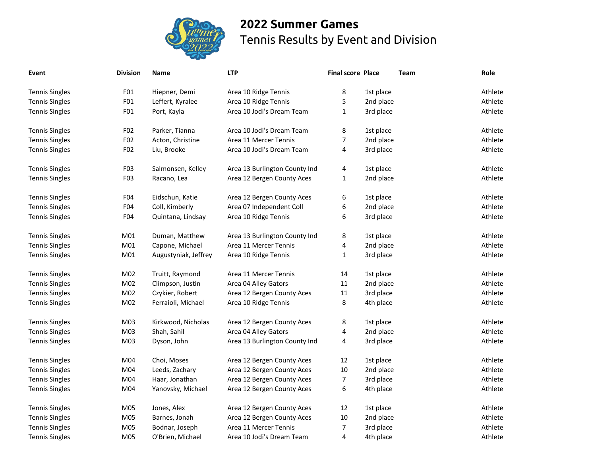

## **2022 Summer Games** Tennis Results by Event and Division

| Event                 | <b>Division</b>  | Name                 | <b>LTP</b>                    | <b>Final score Place</b> |           | <b>Team</b> | Role    |
|-----------------------|------------------|----------------------|-------------------------------|--------------------------|-----------|-------------|---------|
| <b>Tennis Singles</b> | F <sub>01</sub>  | Hiepner, Demi        | Area 10 Ridge Tennis          | 8                        | 1st place |             | Athlete |
| <b>Tennis Singles</b> | FO <sub>1</sub>  | Leffert, Kyralee     | Area 10 Ridge Tennis          | 5                        | 2nd place |             | Athlete |
| <b>Tennis Singles</b> | F01              | Port, Kayla          | Area 10 Jodi's Dream Team     | $\mathbf{1}$             | 3rd place |             | Athlete |
| <b>Tennis Singles</b> | F02              | Parker, Tianna       | Area 10 Jodi's Dream Team     | 8                        | 1st place |             | Athlete |
| <b>Tennis Singles</b> | F02              | Acton, Christine     | Area 11 Mercer Tennis         | $\overline{7}$           | 2nd place |             | Athlete |
| <b>Tennis Singles</b> | F02              | Liu, Brooke          | Area 10 Jodi's Dream Team     | $\overline{4}$           | 3rd place |             | Athlete |
| <b>Tennis Singles</b> | F <sub>0</sub> 3 | Salmonsen, Kelley    | Area 13 Burlington County Ind | 4                        | 1st place |             | Athlete |
| <b>Tennis Singles</b> | F <sub>0</sub> 3 | Racano, Lea          | Area 12 Bergen County Aces    | $\mathbf{1}$             | 2nd place |             | Athlete |
| <b>Tennis Singles</b> | F <sub>04</sub>  | Eidschun, Katie      | Area 12 Bergen County Aces    | 6                        | 1st place |             | Athlete |
| <b>Tennis Singles</b> | F <sub>04</sub>  | Coll, Kimberly       | Area 07 Independent Coll      | 6                        | 2nd place |             | Athlete |
| <b>Tennis Singles</b> | F <sub>04</sub>  | Quintana, Lindsay    | Area 10 Ridge Tennis          | 6                        | 3rd place |             | Athlete |
| <b>Tennis Singles</b> | M01              | Duman, Matthew       | Area 13 Burlington County Ind | 8                        | 1st place |             | Athlete |
| <b>Tennis Singles</b> | M01              | Capone, Michael      | Area 11 Mercer Tennis         | 4                        | 2nd place |             | Athlete |
| <b>Tennis Singles</b> | M <sub>01</sub>  | Augustyniak, Jeffrey | Area 10 Ridge Tennis          | $\mathbf 1$              | 3rd place |             | Athlete |
| <b>Tennis Singles</b> | M02              | Truitt, Raymond      | Area 11 Mercer Tennis         | 14                       | 1st place |             | Athlete |
| <b>Tennis Singles</b> | M02              | Climpson, Justin     | Area 04 Alley Gators          | 11                       | 2nd place |             | Athlete |
| <b>Tennis Singles</b> | M02              | Czykier, Robert      | Area 12 Bergen County Aces    | 11                       | 3rd place |             | Athlete |
| <b>Tennis Singles</b> | M02              | Ferraioli, Michael   | Area 10 Ridge Tennis          | 8                        | 4th place |             | Athlete |
| <b>Tennis Singles</b> | M03              | Kirkwood, Nicholas   | Area 12 Bergen County Aces    | 8                        | 1st place |             | Athlete |
| <b>Tennis Singles</b> | M03              | Shah, Sahil          | Area 04 Alley Gators          | 4                        | 2nd place |             | Athlete |
| <b>Tennis Singles</b> | M03              | Dyson, John          | Area 13 Burlington County Ind | 4                        | 3rd place |             | Athlete |
| <b>Tennis Singles</b> | M04              | Choi, Moses          | Area 12 Bergen County Aces    | 12                       | 1st place |             | Athlete |
| <b>Tennis Singles</b> | M04              | Leeds, Zachary       | Area 12 Bergen County Aces    | 10                       | 2nd place |             | Athlete |
| <b>Tennis Singles</b> | M04              | Haar, Jonathan       | Area 12 Bergen County Aces    | $\boldsymbol{7}$         | 3rd place |             | Athlete |
| <b>Tennis Singles</b> | M04              | Yanovsky, Michael    | Area 12 Bergen County Aces    | 6                        | 4th place |             | Athlete |
| <b>Tennis Singles</b> | M05              | Jones, Alex          | Area 12 Bergen County Aces    | 12                       | 1st place |             | Athlete |
| <b>Tennis Singles</b> | M05              | Barnes, Jonah        | Area 12 Bergen County Aces    | 10                       | 2nd place |             | Athlete |
| <b>Tennis Singles</b> | M05              | Bodnar, Joseph       | Area 11 Mercer Tennis         | $\overline{7}$           | 3rd place |             | Athlete |
| <b>Tennis Singles</b> | M05              | O'Brien, Michael     | Area 10 Jodi's Dream Team     | 4                        | 4th place |             | Athlete |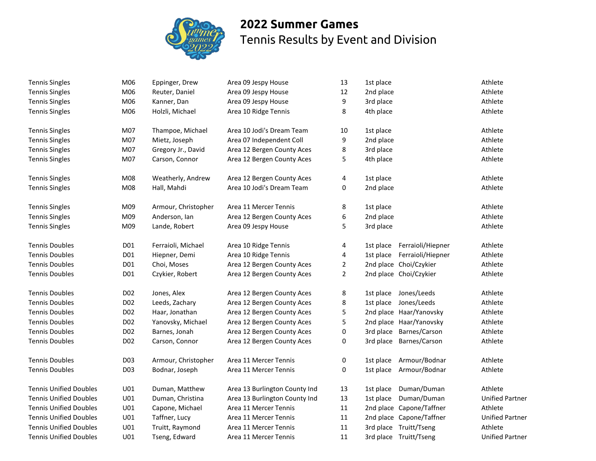

## **2022 Summer Games** Tennis Results by Event and Division

| <b>Tennis Singles</b>         | M06             | Eppinger, Drew      | Area 09 Jespy House           | 13             | 1st place |                          | Athlete                |
|-------------------------------|-----------------|---------------------|-------------------------------|----------------|-----------|--------------------------|------------------------|
| <b>Tennis Singles</b>         | M06             | Reuter, Daniel      | Area 09 Jespy House           | 12             | 2nd place |                          | Athlete                |
| <b>Tennis Singles</b>         | M06             | Kanner, Dan         | Area 09 Jespy House           | 9              | 3rd place |                          | Athlete                |
| <b>Tennis Singles</b>         | M06             | Holzli, Michael     | Area 10 Ridge Tennis          | 8              | 4th place |                          | Athlete                |
| <b>Tennis Singles</b>         | M07             | Thampoe, Michael    | Area 10 Jodi's Dream Team     | 10             | 1st place |                          | Athlete                |
| <b>Tennis Singles</b>         | M07             | Mietz, Joseph       | Area 07 Independent Coll      | 9              | 2nd place |                          | Athlete                |
| <b>Tennis Singles</b>         | M07             | Gregory Jr., David  | Area 12 Bergen County Aces    | 8              | 3rd place |                          | Athlete                |
| <b>Tennis Singles</b>         | M07             | Carson, Connor      | Area 12 Bergen County Aces    | 5              | 4th place |                          | Athlete                |
| <b>Tennis Singles</b>         | M08             | Weatherly, Andrew   | Area 12 Bergen County Aces    | 4              | 1st place |                          | Athlete                |
| <b>Tennis Singles</b>         | M08             | Hall, Mahdi         | Area 10 Jodi's Dream Team     | 0              | 2nd place |                          | Athlete                |
| <b>Tennis Singles</b>         | M09             | Armour, Christopher | Area 11 Mercer Tennis         | 8              | 1st place |                          | Athlete                |
| <b>Tennis Singles</b>         | M09             | Anderson, Ian       | Area 12 Bergen County Aces    | 6              | 2nd place |                          | Athlete                |
| <b>Tennis Singles</b>         | M09             | Lande, Robert       | Area 09 Jespy House           | 5              | 3rd place |                          | Athlete                |
| <b>Tennis Doubles</b>         | D01             | Ferraioli, Michael  | Area 10 Ridge Tennis          | 4              | 1st place | Ferraioli/Hiepner        | Athlete                |
| <b>Tennis Doubles</b>         | D01             | Hiepner, Demi       | Area 10 Ridge Tennis          | 4              | 1st place | Ferraioli/Hiepner        | Athlete                |
| <b>Tennis Doubles</b>         | D01             | Choi, Moses         | Area 12 Bergen County Aces    | $\overline{2}$ |           | 2nd place Choi/Czykier   | Athlete                |
| <b>Tennis Doubles</b>         | D01             | Czykier, Robert     | Area 12 Bergen County Aces    | $\overline{2}$ |           | 2nd place Choi/Czykier   | Athlete                |
| <b>Tennis Doubles</b>         | D <sub>02</sub> | Jones, Alex         | Area 12 Bergen County Aces    | 8              | 1st place | Jones/Leeds              | Athlete                |
| <b>Tennis Doubles</b>         | D02             | Leeds, Zachary      | Area 12 Bergen County Aces    | 8              | 1st place | Jones/Leeds              | Athlete                |
| <b>Tennis Doubles</b>         | D02             | Haar, Jonathan      | Area 12 Bergen County Aces    | 5              |           | 2nd place Haar/Yanovsky  | Athlete                |
| <b>Tennis Doubles</b>         | D02             | Yanovsky, Michael   | Area 12 Bergen County Aces    | 5              |           | 2nd place Haar/Yanovsky  | Athlete                |
| <b>Tennis Doubles</b>         | D02             | Barnes, Jonah       | Area 12 Bergen County Aces    | 0              |           | 3rd place Barnes/Carson  | Athlete                |
| <b>Tennis Doubles</b>         | D <sub>02</sub> | Carson, Connor      | Area 12 Bergen County Aces    | 0              |           | 3rd place Barnes/Carson  | Athlete                |
| <b>Tennis Doubles</b>         | D03             | Armour, Christopher | Area 11 Mercer Tennis         | 0              | 1st place | Armour/Bodnar            | Athlete                |
| <b>Tennis Doubles</b>         | D03             | Bodnar, Joseph      | Area 11 Mercer Tennis         | 0              | 1st place | Armour/Bodnar            | Athlete                |
| <b>Tennis Unified Doubles</b> | U01             | Duman, Matthew      | Area 13 Burlington County Ind | 13             | 1st place | Duman/Duman              | Athlete                |
| <b>Tennis Unified Doubles</b> | U01             | Duman, Christina    | Area 13 Burlington County Ind | 13             | 1st place | Duman/Duman              | <b>Unified Partner</b> |
| <b>Tennis Unified Doubles</b> | U01             | Capone, Michael     | Area 11 Mercer Tennis         | 11             |           | 2nd place Capone/Taffner | Athlete                |
| <b>Tennis Unified Doubles</b> | U01             | Taffner, Lucy       | Area 11 Mercer Tennis         | 11             |           | 2nd place Capone/Taffner | <b>Unified Partner</b> |
| <b>Tennis Unified Doubles</b> | U01             | Truitt, Raymond     | Area 11 Mercer Tennis         | 11             |           | 3rd place Truitt/Tseng   | Athlete                |
| <b>Tennis Unified Doubles</b> | U01             | Tseng, Edward       | Area 11 Mercer Tennis         | 11             |           | 3rd place Truitt/Tseng   | <b>Unified Partner</b> |